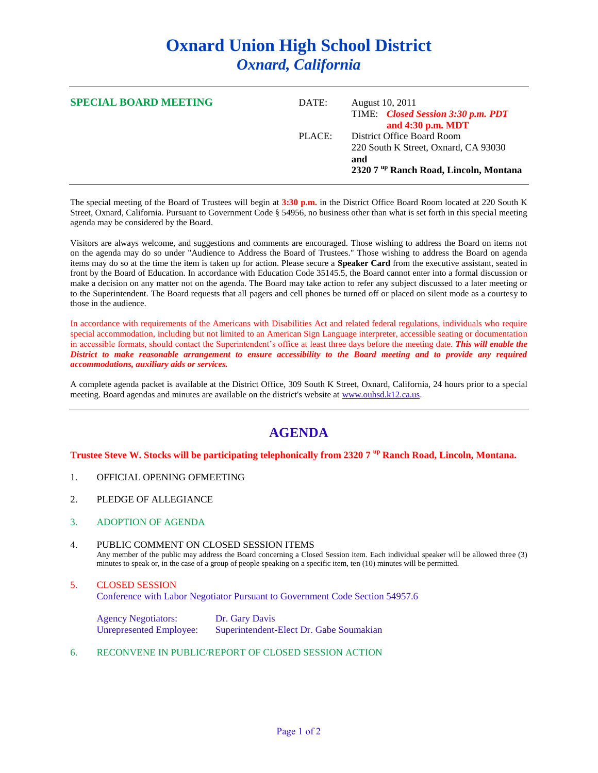# **Oxnard Union High School District** *Oxnard, California*

| <b>SPECIAL BOARD MEETING</b> | DATE:  | August 10, 2011<br>TIME: Closed Session 3:30 p.m. PDT<br>and 4:30 p.m. MDT                                                     |
|------------------------------|--------|--------------------------------------------------------------------------------------------------------------------------------|
|                              | PLACE: | District Office Board Room<br>220 South K Street, Oxnard, CA 93030<br>and<br>2320 7 <sup>up</sup> Ranch Road, Lincoln, Montana |

The special meeting of the Board of Trustees will begin at **3:30 p.m.** in the District Office Board Room located at 220 South K Street, Oxnard, California. Pursuant to Government Code § 54956, no business other than what is set forth in this special meeting agenda may be considered by the Board.

Visitors are always welcome, and suggestions and comments are encouraged. Those wishing to address the Board on items not on the agenda may do so under "Audience to Address the Board of Trustees." Those wishing to address the Board on agenda items may do so at the time the item is taken up for action. Please secure a **Speaker Card** from the executive assistant, seated in front by the Board of Education. In accordance with Education Code 35145.5, the Board cannot enter into a formal discussion or make a decision on any matter not on the agenda. The Board may take action to refer any subject discussed to a later meeting or to the Superintendent. The Board requests that all pagers and cell phones be turned off or placed on silent mode as a courtesy to those in the audience.

In accordance with requirements of the Americans with Disabilities Act and related federal regulations, individuals who require special accommodation, including but not limited to an American Sign Language interpreter, accessible seating or documentation in accessible formats, should contact the Superintendent's office at least three days before the meeting date. *This will enable the District to make reasonable arrangement to ensure accessibility to the Board meeting and to provide any required accommodations, auxiliary aids or services.* 

A complete agenda packet is available at the District Office, 309 South K Street, Oxnard, California, 24 hours prior to a special meeting. Board agendas and minutes are available on the district's website at [www.ouhsd.k12.ca.us.](http://www.ouhsd.k12.ca.us/)

## **AGENDA**

#### **Trustee Steve W. Stocks will be participating telephonically from 2320 7 up Ranch Road, Lincoln, Montana.**

- 1. OFFICIAL OPENING OFMEETING
- 2. PLEDGE OF ALLEGIANCE
- 3. ADOPTION OF AGENDA
- 4. PUBLIC COMMENT ON CLOSED SESSION ITEMS Any member of the public may address the Board concerning a Closed Session item. Each individual speaker will be allowed three (3) minutes to speak or, in the case of a group of people speaking on a specific item, ten (10) minutes will be permitted.

#### 5. CLOSED SESSION Conference with Labor Negotiator Pursuant to Government Code Section 54957.6

Agency Negotiators: Dr. Gary Davis Unrepresented Employee: Superintendent-Elect Dr. Gabe Soumakian

6. RECONVENE IN PUBLIC/REPORT OF CLOSED SESSION ACTION